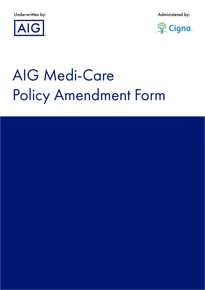Underwritten by: Administered by:





# AIG Medi-Care Policy Amendment Form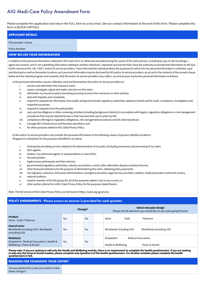## AIG Medi-Care Policy Amendment Form

Please complete this application and return the FULL form to us by email. See our contact information at the end of this form. Please complete this form in BLOCK CAPITALS.

# **APPLICANT DETAILS**

Policyholder's Name

Policy Number

#### **HOW WE USE YOUR INFORMATION**

In relation to the personal information collected in this claim form (or otherwise provided during the course of the claim process, including by way of call recordings), I agree and consent, and if I am submitting information relating to another individual, I represent and warrant that I have the authority to provide that information to AIG Asia Pacific Insurance Pte. Ltd. ("AIG") and/or its service providers, I have informed the individual about the purposes for which his/ her personal information is collected, used and disclosed as well as the parties to whom such personal information may be disclosed by AIG and/or its service providers, as set out in the contents of the consent clause below and the individual agrees and consents, that AIG and/or its service providers may collect, use and process my/his/her personal information as follows:

a) the personal information may be collected, used and disclosed by AIG and/or its service providers to:

- i. process and administer this insurance claim;
- ii. assess, investigate, adjust and make a decision on this claim;
- iii. administer my insurance policy (including pursuing recovery from reinsurers or other parties);
- iv. deal with disputes and complaints,
- v. respond to requests for information from public and governmental/ regulatory authorities, statutory boards and for audit, compliance, investigation and inspection purposes;
- vi. respond to requests from the policyholder;
- vii. carry out due diligence or other screening activities (including background check(s)) in accordance with legal or regulatory obligations or risk management procedures that may be required by law or that may have been put in place by AIG;
- viii. compliance with legal or regulatory obligations, risk management procedures and AIG internal policies;
- ix. manage AIG's infrastructure and business operations; and
- x. for other purposes stated in AIG's Data Privacy Policy.

b) AIG and/or its service providers may transfer the personal information to the following classes of persons (whether located in Singapore or elsewhere) for the purposes identified in (a) above:

- i. third parties providing services related to the administration of my policy (including reinsurers) and processing of my claim;
- ii. AIG's agents:
- iii. brokers, my authorised agents or representatives or next-of-kin;
- iv. the policyholder;
- v. legal process participants and their advisors;
- vi. governmental/regulatory authorities, industry associations, courts, other alternative dispute resolution forums;
- vii. other financial institutions for the purpose of administering this claim, obtaining policy payments;
- viii. loss adjustors, assessors, third party administrators, emergency providers, legal services providers, retailers, medical providers and travel carriers,
- ix. external auditors;
- x. another member of the AIG group (for all of the purposes stated in (a)) in any country; or
- xi. other parties referred to in AIG's Data Privacy Policy for the purposes stated therein.

Note: The full version of AIG's Data Privacy Policy can be found at https://www.aig.sg/privacy

#### **POLICY AMENDMENTS - Please ensure an answer is provided for each question**

|                                                                                        |     | <b>Change?</b> |    | Select new plan design<br>Please tick all selections you would like on your plan going forward. |
|----------------------------------------------------------------------------------------|-----|----------------|----|-------------------------------------------------------------------------------------------------|
| <b>Product</b><br>Silver / Gold / Platinum                                             | Yes |                | No | Silver<br>Gold<br>Platinum                                                                      |
| Area of cover<br>Worldwide including USA / Worldwide<br>excluding USA                  | Yes |                | No | Worldwide including USA<br>Worldwide excluding USA                                              |
| Module(s)<br>Outpatient / Medical Evacuation / Health &<br>Wellbeing / Vision & Dental | Yes |                | No | <b>Medical Evacuation</b><br>Outpatient<br>Health & Wellbeing<br>Vision & Dental                |

**Please note: If you are seeking to add only the Health and Wellbeing module, there is no requirement to complete the health questionnaire. If you are seeking to add only the Vision & Dental module, please complete only Question 6 of the health questionnaire. For all other modules please complete the health questionnaire in full.**

#### **REASONS FOR CHANGING YOUR COVER?**

| Can you please tell us why you need to make |  |  |
|---------------------------------------------|--|--|
| these changes?                              |  |  |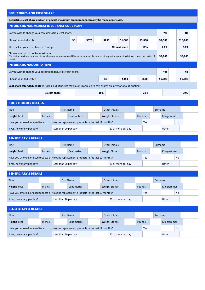| <b>DEDUCTIBLES AND COST SHARE</b>                                                                                                                                                                |     |       |       |  |               |  |         |  |            |  |           |  |
|--------------------------------------------------------------------------------------------------------------------------------------------------------------------------------------------------|-----|-------|-------|--|---------------|--|---------|--|------------|--|-----------|--|
| Deductible, cost share and out of pocket maximum amendments can only be made at renewal.                                                                                                         |     |       |       |  |               |  |         |  |            |  |           |  |
| <b>INTERNATIONAL MEDICAL INSURANCE CORE PLAN</b>                                                                                                                                                 |     |       |       |  |               |  |         |  |            |  |           |  |
| Do you wish to change your core deductible/cost share?<br><b>No</b><br><b>Yes</b>                                                                                                                |     |       |       |  |               |  |         |  |            |  |           |  |
| Choose your deductible                                                                                                                                                                           | \$0 | \$375 | \$750 |  | \$1,500       |  | \$3,000 |  | \$7,500    |  | \$10,000  |  |
| Then, select your cost share percentage                                                                                                                                                          |     |       |       |  | No cost share |  | 10%     |  | 20%        |  | 30%       |  |
| Choose your out of pocket maximum<br>(This is the maximum amount of cost share under International Medical Insurance plan you must pay in the event of a claim or claims per period of<br>cover) |     |       |       |  |               |  |         |  | \$2,000    |  | \$5,000   |  |
| <b>INTERNATIONAL OUTPATIENT</b>                                                                                                                                                                  |     |       |       |  |               |  |         |  |            |  |           |  |
| Do you wish to change your outpatient deductible/cost share?                                                                                                                                     |     |       |       |  |               |  |         |  | <b>Yes</b> |  | <b>No</b> |  |
| \$0<br>Choose your deductible<br>\$150<br>\$500<br>\$1,000<br>\$1,500                                                                                                                            |     |       |       |  |               |  |         |  |            |  |           |  |
| Cost share after deductible (a \$3,000 out of pocket maximum is applied to cost shares on International Outpatient)                                                                              |     |       |       |  |               |  |         |  |            |  |           |  |
| No cost share<br>10%<br>20%<br>30%                                                                                                                                                               |     |       |       |  |               |  |         |  |            |  |           |  |

| <b>POLICYHOLDER DETAILS</b>                                                                           |  |               |                   |  |             |                |  |  |                                |  |  |  |  |             |  |  |
|-------------------------------------------------------------------------------------------------------|--|---------------|-------------------|--|-------------|----------------|--|--|--------------------------------|--|--|--|--|-------------|--|--|
| <b>Title</b>                                                                                          |  |               | <b>First Name</b> |  |             | Other Initials |  |  | Surname                        |  |  |  |  |             |  |  |
| Height: Feet                                                                                          |  | <b>Inches</b> |                   |  | Centimetres |                |  |  | <b>Weigh: Stones</b><br>Pounds |  |  |  |  | Kilogrammes |  |  |
| Have you smoked, or used tobacco or nicotine replacement products in the last 12 months?<br>No<br>Yes |  |               |                   |  |             |                |  |  |                                |  |  |  |  |             |  |  |
| Other<br>If Yes, how many per day?<br>Less than 20 per day<br>20 or more per day                      |  |               |                   |  |             |                |  |  |                                |  |  |  |  |             |  |  |

| <b>BENEFICIARY 1 DETAILS</b>                                                                          |  |        |  |                   |                    |  |  |                      |                    |  |        |         |  |             |  |  |  |
|-------------------------------------------------------------------------------------------------------|--|--------|--|-------------------|--------------------|--|--|----------------------|--------------------|--|--------|---------|--|-------------|--|--|--|
| <b>Title</b>                                                                                          |  |        |  | <b>First Name</b> |                    |  |  | Other Initials       |                    |  |        | Surname |  |             |  |  |  |
| Height: Feet                                                                                          |  | Inches |  |                   | <b>Centimetres</b> |  |  | <b>Weigh: Stones</b> |                    |  | Pounds |         |  | Kilogrammes |  |  |  |
| Have you smoked, or used tobacco or nicotine replacement products in the last 12 months?<br>No<br>Yes |  |        |  |                   |                    |  |  |                      |                    |  |        |         |  |             |  |  |  |
| If Yes, how many per day?<br>Less than 20 per day                                                     |  |        |  |                   |                    |  |  |                      | 20 or more per day |  |        |         |  | Other       |  |  |  |

| <b>BENEFICIARY 2 DETAILS</b>                                                                          |  |                   |  |             |                |  |                                |                    |  |         |  |             |       |  |  |
|-------------------------------------------------------------------------------------------------------|--|-------------------|--|-------------|----------------|--|--------------------------------|--------------------|--|---------|--|-------------|-------|--|--|
| Title                                                                                                 |  | <b>First Name</b> |  |             | Other Initials |  |                                |                    |  | Surname |  |             |       |  |  |
| Height: Feet                                                                                          |  | <b>Inches</b>     |  | Centimetres |                |  | <b>Weigh: Stones</b><br>Pounds |                    |  |         |  | Kilogrammes |       |  |  |
| Have you smoked, or used tobacco or nicotine replacement products in the last 12 months?<br>No<br>Yes |  |                   |  |             |                |  |                                |                    |  |         |  |             |       |  |  |
| If Yes, how many per day?<br>Less than 20 per day                                                     |  |                   |  |             |                |  |                                | 20 or more per day |  |         |  |             | Other |  |  |

| <b>BENEFICIARY 3 DETAILS</b>                                                                          |  |        |  |                      |             |  |  |                                |                    |  |  |             |         |  |  |
|-------------------------------------------------------------------------------------------------------|--|--------|--|----------------------|-------------|--|--|--------------------------------|--------------------|--|--|-------------|---------|--|--|
| <b>Title</b>                                                                                          |  |        |  | <b>First Name</b>    |             |  |  |                                | Other Initials     |  |  |             | Surname |  |  |
| Height: Feet                                                                                          |  | Inches |  |                      | Centimetres |  |  | <b>Weigh: Stones</b><br>Pounds |                    |  |  | Kilogrammes |         |  |  |
| Have you smoked, or used tobacco or nicotine replacement products in the last 12 months?<br>Yes<br>No |  |        |  |                      |             |  |  |                                |                    |  |  |             |         |  |  |
| If Yes, how many per day?                                                                             |  |        |  | Less than 20 per day |             |  |  |                                | 20 or more per day |  |  |             | Other   |  |  |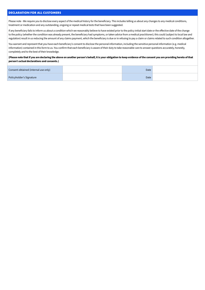#### **DECLARATION FOR ALL CUSTOMERS**

Please note - We require you to disclose every aspect of the medical history for the beneficiary. This includes telling us about any changes to any medical conditions, treatment or medication and any outstanding, ongoing or repeat medical tests that have been suggested.

If any beneficiary fails to inform us about a condition which we reasonably believe to have existed prior to the policy initial start date or the effective date of the change to the policy (whether the condition was already present, the beneficiary had symptoms, or taken advice from a medical practitioner); this could (subject to local law and regulation) result in us reducing the amount of any claims payment, which the beneficiary is due or in refusing to pay a claim or claims related to such condition altogether.

You warrant and represent that you have each beneficiary's consent to disclose the personal information, including the sensitive personal information (e.g. medical information) contained in this form to us. You confirm that each beneficiary is aware of their duty to take reasonable care to answer questions accurately, honestly, completely and to the best of their knowledge.

#### **(Please note that if you are declaring the above on another person's behalf, it is your obligation to keep evidence of the consent you are providing hereto of that person's actual declarations and consents.)**

| Consent obtained (internal use only) | Date |  |
|--------------------------------------|------|--|
| Policyholder's Signature             | Date |  |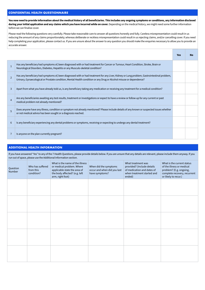#### **CONFIDENTIAL HEALTH QUESTIONNAIRE**

**You now need to provide information about the medical history of all beneficiaries. This includes any ongoing symptoms or conditions, any information disclosed during your initial application and any claims which you have incurred while on cover.** Depending on the medical history, we might need some further information before we can finalise cover.

Please read the following questions very carefully. Please take reasonable care to answer all questions honestly and fully. Careless misrepresentation could result in us reducing the amount of any claims proportionately; whereas deliberate or reckless misrepresentation could result in us rejecting claims, and/or cancelling cover. If you need help completing your application, please contact us. If you are unsure about the answer to any question you should make the enquiries necessary to allow you to provide an accurate answer.

|                |                                                                                                                                                                                                                                                                   | <b>Yes</b> | No |
|----------------|-------------------------------------------------------------------------------------------------------------------------------------------------------------------------------------------------------------------------------------------------------------------|------------|----|
| $\mathbf{1}$   | Has any beneficiary had symptoms of, been diagnosed with or had treatment for Cancer or Tumour, Heart Condition, Stroke, Brain or<br>Neurological Disorders, Diabetes, Hepatitis or any Musculo-skeletal condition?                                               |            |    |
| $\mathcal{P}$  | Has any beneficiary had symptoms of, been diagnosed with or had treatment for any Liver, Kidney or Lung problem, Gastrointestinal problem,<br>Urinary, Gynaecological or Prostate condition, Mental Health condition or any Drug or Alcohol misuse or dependence? |            |    |
| 3              | Apart from what you have already told us, is any beneficiary taking any medication or receiving any treatment for a medical condition?                                                                                                                            |            |    |
| $\overline{4}$ | Are any beneficiaries awaiting any test results, treatment or investigations or expect to have a review or follow up for any current or past<br>medical problem not already mentioned?                                                                            |            |    |
| 5              | Does anyone have any illness, condition or symptom not already mentioned? Please include details of any known or suspected issues whether<br>or not medical advice has been sought or a diagnosis reached.                                                        |            |    |
| 6              | Is any beneficiary experiencing any dental problems or symptoms, receiving or expecting to undergo any dental treatment?                                                                                                                                          |            |    |
|                | Is anyone on the plan currently pregnant?                                                                                                                                                                                                                         |            |    |

#### **ADDITIONAL HEALTH INFORMATION**

If you have answered "Yes" to any of the 7 Health Questions, please provide details below. If you are unsure that any details are relevant, please include them anyway. If you run out of space, please use the Additional Information section.

| Question<br>Number | Who has suffered<br>from this<br>condition? | What is the name of the illness<br>or medical problem. Where<br>applicable state the area of<br>the body affected? (e.g. left<br>arm, right foot) | When did the symptoms<br>occur and when did you last<br>have symptoms? | What treatment was<br>provided? (Include details<br>of medication and dates of<br>when treatment started and<br>ended) | What is the current status<br>of the illness or medical<br>problem? (E.g. ongoing,<br>complete recovery, recurrent<br>or likely to recur.) |
|--------------------|---------------------------------------------|---------------------------------------------------------------------------------------------------------------------------------------------------|------------------------------------------------------------------------|------------------------------------------------------------------------------------------------------------------------|--------------------------------------------------------------------------------------------------------------------------------------------|
|                    |                                             |                                                                                                                                                   |                                                                        |                                                                                                                        |                                                                                                                                            |
|                    |                                             |                                                                                                                                                   |                                                                        |                                                                                                                        |                                                                                                                                            |
|                    |                                             |                                                                                                                                                   |                                                                        |                                                                                                                        |                                                                                                                                            |
|                    |                                             |                                                                                                                                                   |                                                                        |                                                                                                                        |                                                                                                                                            |
|                    |                                             |                                                                                                                                                   |                                                                        |                                                                                                                        |                                                                                                                                            |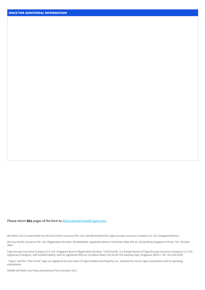#### Please return **ALL** pages of the form to [AIGCustomerCare@Cigna.com.](mailto:AIGCustomerCare%40Cigna.com?subject=)

AIG Medi-Care is underwritten by AIG Asia Pacific Insurance Pte. Ltd. and administered by Cigna Europe Insurance Company S.A.-N.V. Singapore Branch.

AIG Asia Pacific Insurance Pte. Ltd. (Registration Number: 201009404M), registered address 78 Shenton Way #09-16, AIG Building Singapore 079120. Tel: +65 6419 3000.

Cigna Europe Insurance Company S.A.-N.V. Singapore Branch (Registration Number: T10FC0145E), is a foreign branch of Cigna Europe Insurance Company S.A.-N.V., registered in Belgium with limited liability, with its registered office at 152 Beach Road, #33-05/06 The Gateway East, Singapore 189721. Tel: +65 6549 3636.

 "Cigna" and the "Tree of Life" logo are registered service marks of Cigna Intellectual Property, Inc., licensed for use by Cigna Corporation and its operating subsidiaries.

590896 AIG Medi-Care Policy Amendment Form October 2021